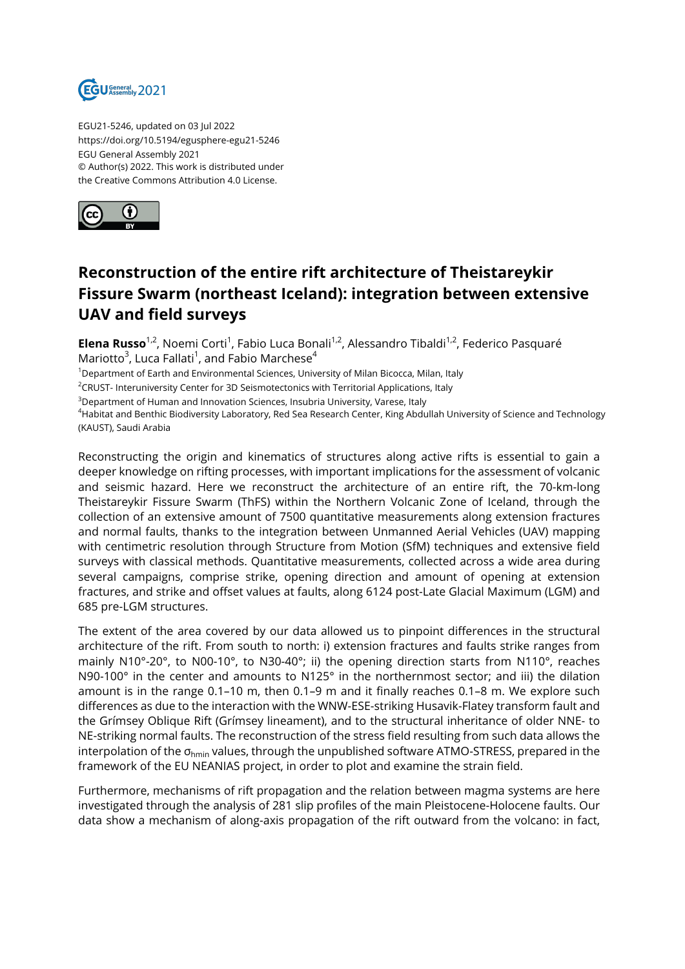

EGU21-5246, updated on 03 Jul 2022 https://doi.org/10.5194/egusphere-egu21-5246 EGU General Assembly 2021 © Author(s) 2022. This work is distributed under the Creative Commons Attribution 4.0 License.



## **Reconstruction of the entire rift architecture of Theistareykir Fissure Swarm (northeast Iceland): integration between extensive UAV and field surveys**

**Elena Russo**<sup>1,2</sup>, Noemi Corti<sup>1</sup>, Fabio Luca Bonali<sup>1,2</sup>, Alessandro Tibaldi<sup>1,2</sup>, Federico Pasquaré Mariotto $^3$ , Luca Fallati $^1$ , and Fabio Marchese $^4$ 

<sup>1</sup>Department of Earth and Environmental Sciences, University of Milan Bicocca, Milan, Italy

<sup>2</sup>CRUST- Interuniversity Center for 3D Seismotectonics with Territorial Applications, Italy

<sup>3</sup>Department of Human and Innovation Sciences, Insubria University, Varese, Italy

<sup>4</sup>Habitat and Benthic Biodiversity Laboratory, Red Sea Research Center, King Abdullah University of Science and Technology (KAUST), Saudi Arabia

Reconstructing the origin and kinematics of structures along active rifts is essential to gain a deeper knowledge on rifting processes, with important implications for the assessment of volcanic and seismic hazard. Here we reconstruct the architecture of an entire rift, the 70-km-long Theistareykir Fissure Swarm (ThFS) within the Northern Volcanic Zone of Iceland, through the collection of an extensive amount of 7500 quantitative measurements along extension fractures and normal faults, thanks to the integration between Unmanned Aerial Vehicles (UAV) mapping with centimetric resolution through Structure from Motion (SfM) techniques and extensive field surveys with classical methods. Quantitative measurements, collected across a wide area during several campaigns, comprise strike, opening direction and amount of opening at extension fractures, and strike and offset values at faults, along 6124 post-Late Glacial Maximum (LGM) and 685 pre-LGM structures.

The extent of the area covered by our data allowed us to pinpoint differences in the structural architecture of the rift. From south to north: i) extension fractures and faults strike ranges from mainly N10°-20°, to N00-10°, to N30-40°; ii) the opening direction starts from N110°, reaches N90-100° in the center and amounts to N125° in the northernmost sector; and iii) the dilation amount is in the range 0.1–10 m, then 0.1–9 m and it finally reaches 0.1–8 m. We explore such differences as due to the interaction with the WNW-ESE-striking Husavik-Flatey transform fault and the Grímsey Oblique Rift (Grímsey lineament), and to the structural inheritance of older NNE- to NE-striking normal faults. The reconstruction of the stress field resulting from such data allows the interpolation of the  $\sigma_{\text{hmin}}$  values, through the unpublished software ATMO-STRESS, prepared in the framework of the EU NEANIAS project, in order to plot and examine the strain field.

Furthermore, mechanisms of rift propagation and the relation between magma systems are here investigated through the analysis of 281 slip profiles of the main Pleistocene-Holocene faults. Our data show a mechanism of along-axis propagation of the rift outward from the volcano: in fact,